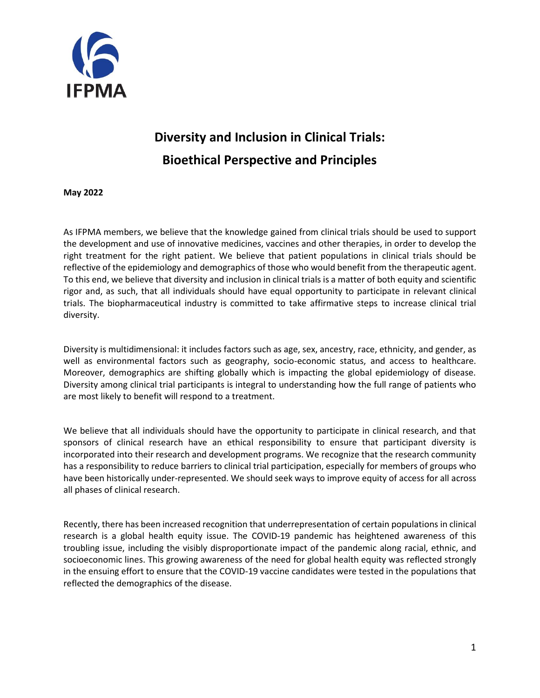

## **Diversity and Inclusion in Clinical Trials: Bioethical Perspective and Principles**

**May 2022**

As IFPMA members, we believe that the knowledge gained from clinical trials should be used to support the development and use of innovative medicines, vaccines and other therapies, in order to develop the right treatment for the right patient. We believe that patient populations in clinical trials should be reflective of the epidemiology and demographics of those who would benefit from the therapeutic agent. To this end, we believe that diversity and inclusion in clinical trials is a matter of both equity and scientific rigor and, as such, that all individuals should have equal opportunity to participate in relevant clinical trials. The biopharmaceutical industry is committed to take affirmative steps to increase clinical trial diversity.

Diversity is multidimensional: it includes factors such as age, sex, ancestry, race, ethnicity, and gender, as well as environmental factors such as geography, socio-economic status, and access to healthcare. Moreover, demographics are shifting globally which is impacting the global epidemiology of disease. Diversity among clinical trial participants is integral to understanding how the full range of patients who are most likely to benefit will respond to a treatment.

We believe that all individuals should have the opportunity to participate in clinical research, and that sponsors of clinical research have an ethical responsibility to ensure that participant diversity is incorporated into their research and development programs. We recognize that the research community has a responsibility to reduce barriers to clinical trial participation, especially for members of groups who have been historically under-represented. We should seek ways to improve equity of access for all across all phases of clinical research.

Recently, there has been increased recognition that underrepresentation of certain populations in clinical research is a global health equity issue. The COVID-19 pandemic has heightened awareness of this troubling issue, including the visibly disproportionate impact of the pandemic along racial, ethnic, and socioeconomic lines. This growing awareness of the need for global health equity was reflected strongly in the ensuing effort to ensure that the COVID-19 vaccine candidates were tested in the populations that reflected the demographics of the disease.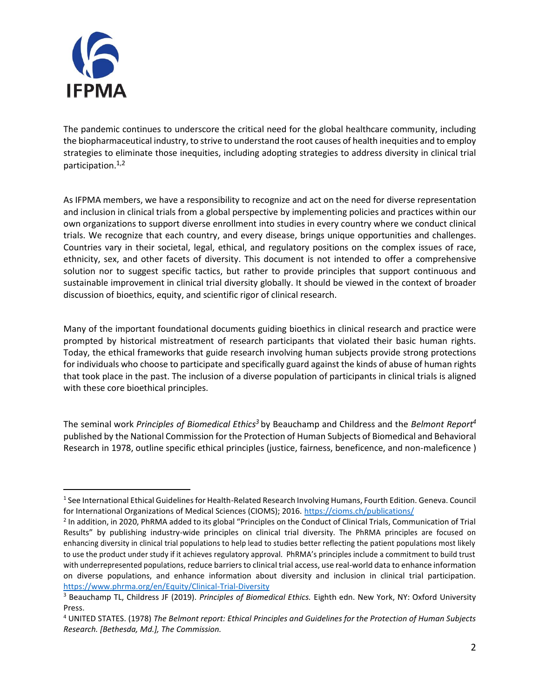

The pandemic continues to underscore the critical need for the global healthcare community, including the biopharmaceutical industry, to strive to understand the root causes of health inequities and to employ strategies to eliminate those inequities, including adopting strategies to address diversity in clinical trial participation.1,2

As IFPMA members, we have a responsibility to recognize and act on the need for diverse representation and inclusion in clinical trials from a global perspective by implementing policies and practices within our own organizations to support diverse enrollment into studies in every country where we conduct clinical trials. We recognize that each country, and every disease, brings unique opportunities and challenges. Countries vary in their societal, legal, ethical, and regulatory positions on the complex issues of race, ethnicity, sex, and other facets of diversity. This document is not intended to offer a comprehensive solution nor to suggest specific tactics, but rather to provide principles that support continuous and sustainable improvement in clinical trial diversity globally. It should be viewed in the context of broader discussion of bioethics, equity, and scientific rigor of clinical research.

Many of the important foundational documents guiding bioethics in clinical research and practice were prompted by historical mistreatment of research participants that violated their basic human rights. Today, the ethical frameworks that guide research involving human subjects provide strong protections for individuals who choose to participate and specifically guard against the kinds of abuse of human rights that took place in the past. The inclusion of a diverse population of participants in clinical trials is aligned with these core bioethical principles.

The seminal work *Principles of Biomedical Ethics <sup>3</sup>* by Beauchamp and Childress and the *Belmont Report 4* published by the National Commission for the Protection of Human Subjects of Biomedical and Behavioral Research in 1978, outline specific ethical principles (justice, fairness, beneficence, and non-maleficence )

<sup>1</sup> See International Ethical Guidelines for Health-Related Research Involving Humans, Fourth Edition. Geneva. Council for International Organizations of Medical Sciences (CIOMS); 2016. [https://cioms.ch/publications/](https://urldefense.com/v3/__https:/cioms.ch/publications/__;!!H9nueQsQ!tYpfEZv1qvoJTcGyqyuLpX8O9uluLkibPnTASGwm2v2WH79R--mnrqWWp3QE6fxb$)

<sup>&</sup>lt;sup>2</sup> In addition, in 2020, PhRMA added to its global "Principles on the Conduct of Clinical Trials, Communication of Trial Results" by publishing industry-wide principles on clinical trial diversity. The PhRMA principles are focused on enhancing diversity in clinical trial populations to help lead to studies better reflecting the patient populations most likely to use the product under study if it achieves regulatory approval. PhRMA's principles include a commitment to build trust with underrepresented populations, reduce barriers to clinical trial access, use real-world data to enhance information on diverse populations, and enhance information about diversity and inclusion in clinical trial participation. <https://www.phrma.org/en/Equity/Clinical-Trial-Diversity>

<sup>3</sup> Beauchamp TL, Childress JF (2019). *Principles of Biomedical Ethics.* Eighth edn. New York, NY: Oxford University Press.

<sup>4</sup> UNITED STATES. (1978) *The Belmont report: Ethical Principles and Guidelines for the Protection of Human Subjects Research. [Bethesda, Md.], The Commission.*